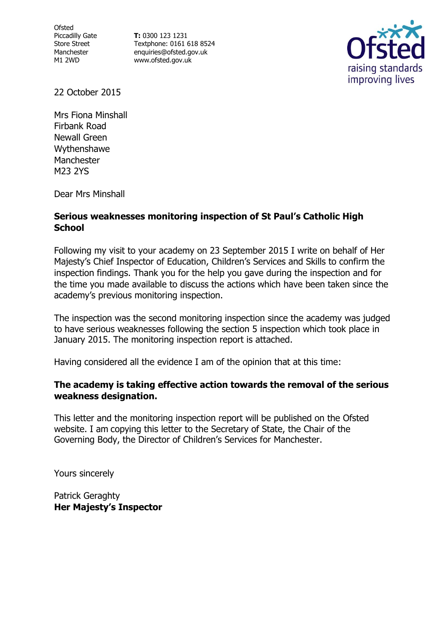**Ofsted** Piccadilly Gate Store Street Manchester M1 2WD

**T:** 0300 123 1231 Textphone: 0161 618 8524 enquiries@ofsted.gov.uk www.ofsted.gov.uk



22 October 2015

Mrs Fiona Minshall Firbank Road Newall Green Wythenshawe Manchester M23 2YS

Dear Mrs Minshall

#### **Serious weaknesses monitoring inspection of St Paul's Catholic High School**

Following my visit to your academy on 23 September 2015 I write on behalf of Her Majesty's Chief Inspector of Education, Children's Services and Skills to confirm the inspection findings. Thank you for the help you gave during the inspection and for the time you made available to discuss the actions which have been taken since the academy's previous monitoring inspection.

The inspection was the second monitoring inspection since the academy was judged to have serious weaknesses following the section 5 inspection which took place in January 2015. The monitoring inspection report is attached.

Having considered all the evidence I am of the opinion that at this time:

#### **The academy is taking effective action towards the removal of the serious weakness designation.**

This letter and the monitoring inspection report will be published on the Ofsted website. I am copying this letter to the Secretary of State, the Chair of the Governing Body, the Director of Children's Services for Manchester.

Yours sincerely

Patrick Geraghty **Her Majesty's Inspector**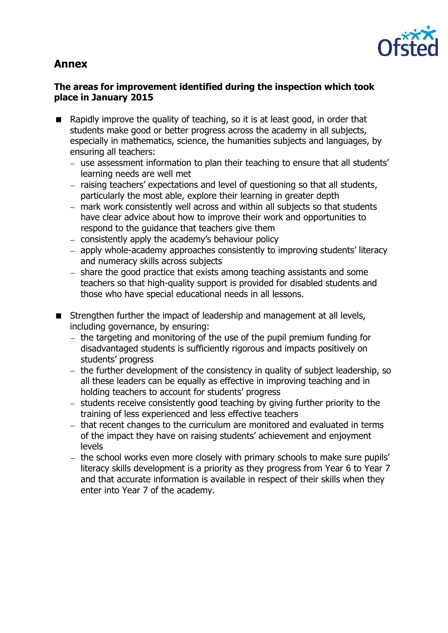# **Annex**



### **The areas for improvement identified during the inspection which took place in January 2015**

- Rapidly improve the quality of teaching, so it is at least good, in order that students make good or better progress across the academy in all subjects, especially in mathematics, science, the humanities subjects and languages, by ensuring all teachers:
	- use assessment information to plan their teaching to ensure that all students' learning needs are well met
	- raising teachers' expectations and level of questioning so that all students, particularly the most able, explore their learning in greater depth
	- mark work consistently well across and within all subjects so that students have clear advice about how to improve their work and opportunities to respond to the guidance that teachers give them
	- $-$  consistently apply the academy's behaviour policy
	- apply whole-academy approaches consistently to improving students' literacy and numeracy skills across subjects
	- share the good practice that exists among teaching assistants and some teachers so that high-quality support is provided for disabled students and those who have special educational needs in all lessons.
- Strengthen further the impact of leadership and management at all levels, including governance, by ensuring:
	- $-$  the targeting and monitoring of the use of the pupil premium funding for disadvantaged students is sufficiently rigorous and impacts positively on students' progress
	- $-$  the further development of the consistency in quality of subject leadership, so all these leaders can be equally as effective in improving teaching and in holding teachers to account for students' progress
	- $-$  students receive consistently good teaching by giving further priority to the training of less experienced and less effective teachers
	- $-$  that recent changes to the curriculum are monitored and evaluated in terms of the impact they have on raising students' achievement and enjoyment levels
	- the school works even more closely with primary schools to make sure pupils' literacy skills development is a priority as they progress from Year 6 to Year 7 and that accurate information is available in respect of their skills when they enter into Year 7 of the academy.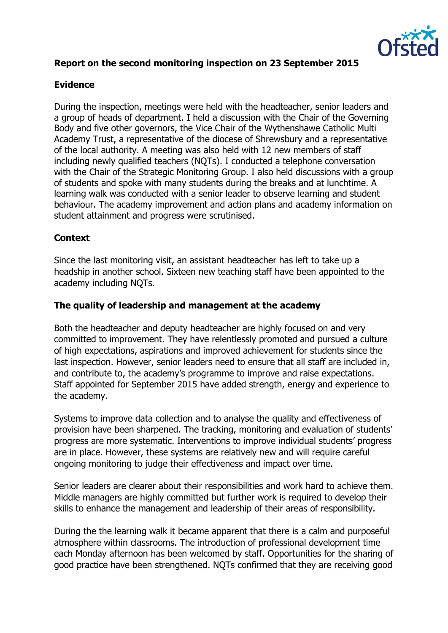

# **Report on the second monitoring inspection on 23 September 2015**

# **Evidence**

During the inspection, meetings were held with the headteacher, senior leaders and a group of heads of department. I held a discussion with the Chair of the Governing Body and five other governors, the Vice Chair of the Wythenshawe Catholic Multi Academy Trust, a representative of the diocese of Shrewsbury and a representative of the local authority. A meeting was also held with 12 new members of staff including newly qualified teachers (NQTs). I conducted a telephone conversation with the Chair of the Strategic Monitoring Group. I also held discussions with a group of students and spoke with many students during the breaks and at lunchtime. A learning walk was conducted with a senior leader to observe learning and student behaviour. The academy improvement and action plans and academy information on student attainment and progress were scrutinised.

# **Context**

Since the last monitoring visit, an assistant headteacher has left to take up a headship in another school. Sixteen new teaching staff have been appointed to the academy including NQTs.

### **The quality of leadership and management at the academy**

Both the headteacher and deputy headteacher are highly focused on and very committed to improvement. They have relentlessly promoted and pursued a culture of high expectations, aspirations and improved achievement for students since the last inspection. However, senior leaders need to ensure that all staff are included in, and contribute to, the academy's programme to improve and raise expectations. Staff appointed for September 2015 have added strength, energy and experience to the academy.

Systems to improve data collection and to analyse the quality and effectiveness of provision have been sharpened. The tracking, monitoring and evaluation of students' progress are more systematic. Interventions to improve individual students' progress are in place. However, these systems are relatively new and will require careful ongoing monitoring to judge their effectiveness and impact over time.

Senior leaders are clearer about their responsibilities and work hard to achieve them. Middle managers are highly committed but further work is required to develop their skills to enhance the management and leadership of their areas of responsibility.

During the the learning walk it became apparent that there is a calm and purposeful atmosphere within classrooms. The introduction of professional development time each Monday afternoon has been welcomed by staff. Opportunities for the sharing of good practice have been strengthened. NQTs confirmed that they are receiving good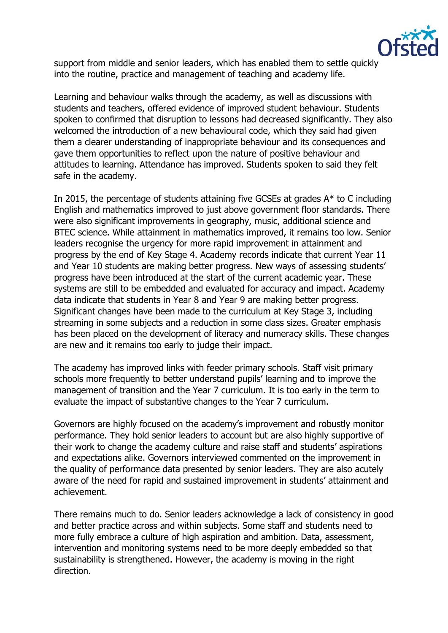

support from middle and senior leaders, which has enabled them to settle quickly into the routine, practice and management of teaching and academy life.

Learning and behaviour walks through the academy, as well as discussions with students and teachers, offered evidence of improved student behaviour. Students spoken to confirmed that disruption to lessons had decreased significantly. They also welcomed the introduction of a new behavioural code, which they said had given them a clearer understanding of inappropriate behaviour and its consequences and gave them opportunities to reflect upon the nature of positive behaviour and attitudes to learning. Attendance has improved. Students spoken to said they felt safe in the academy.

In 2015, the percentage of students attaining five GCSEs at grades A\* to C including English and mathematics improved to just above government floor standards. There were also significant improvements in geography, music, additional science and BTEC science. While attainment in mathematics improved, it remains too low. Senior leaders recognise the urgency for more rapid improvement in attainment and progress by the end of Key Stage 4. Academy records indicate that current Year 11 and Year 10 students are making better progress. New ways of assessing students' progress have been introduced at the start of the current academic year. These systems are still to be embedded and evaluated for accuracy and impact. Academy data indicate that students in Year 8 and Year 9 are making better progress. Significant changes have been made to the curriculum at Key Stage 3, including streaming in some subjects and a reduction in some class sizes. Greater emphasis has been placed on the development of literacy and numeracy skills. These changes are new and it remains too early to judge their impact.

The academy has improved links with feeder primary schools. Staff visit primary schools more frequently to better understand pupils' learning and to improve the management of transition and the Year 7 curriculum. It is too early in the term to evaluate the impact of substantive changes to the Year 7 curriculum.

Governors are highly focused on the academy's improvement and robustly monitor performance. They hold senior leaders to account but are also highly supportive of their work to change the academy culture and raise staff and students' aspirations and expectations alike. Governors interviewed commented on the improvement in the quality of performance data presented by senior leaders. They are also acutely aware of the need for rapid and sustained improvement in students' attainment and achievement.

There remains much to do. Senior leaders acknowledge a lack of consistency in good and better practice across and within subjects. Some staff and students need to more fully embrace a culture of high aspiration and ambition. Data, assessment, intervention and monitoring systems need to be more deeply embedded so that sustainability is strengthened. However, the academy is moving in the right direction.